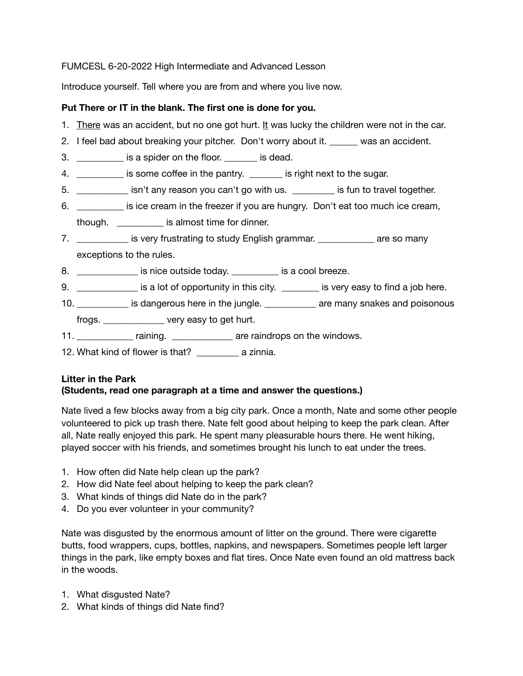### FUMCESL 6-20-2022 High Intermediate and Advanced Lesson

Introduce yourself. Tell where you are from and where you live now.

### **Put There or IT in the blank. The first one is done for you.**

- 1. There was an accident, but no one got hurt. It was lucky the children were not in the car.
- 2. I feel bad about breaking your pitcher. Don't worry about it. \_\_\_\_\_\_\_ was an accident.
- 3. \_\_\_\_\_\_\_\_\_\_\_\_ is a spider on the floor. \_\_\_\_\_\_\_ is dead.
- 4. \_\_\_\_\_\_\_\_\_\_\_ is some coffee in the pantry. \_\_\_\_\_\_\_ is right next to the sugar.
- 5. \_\_\_\_\_\_\_\_\_\_\_ isn't any reason you can't go with us. \_\_\_\_\_\_\_\_\_ is fun to travel together.
- 6. \_\_\_\_\_\_\_\_\_\_ is ice cream in the freezer if you are hungry. Don't eat too much ice cream, though. \_\_\_\_\_\_\_\_\_\_ is almost time for dinner.
- 7. **Example 12** is very frustrating to study English grammar. The same so many exceptions to the rules.
- 8. **Solution is nice outside today.** The set of is a cool breeze.
- 9. **Example 20** is a lot of opportunity in this city. **Example 20** is very easy to find a job here.
- 10. **Example 10.** It is dangerous here in the jungle. The same many snakes and poisonous
- frogs. \_\_\_\_\_\_\_\_\_\_\_\_\_ very easy to get hurt.
- 11. \_\_\_\_\_\_\_\_\_\_\_\_\_ raining. \_\_\_\_\_\_\_\_\_\_\_\_\_\_\_ are raindrops on the windows.
- 12. What kind of flower is that? \_\_\_\_\_\_\_\_\_ a zinnia.

# **Litter in the Park (Students, read one paragraph at a time and answer the questions.)**

Nate lived a few blocks away from a big city park. Once a month, Nate and some other people volunteered to pick up trash there. Nate felt good about helping to keep the park clean. After all, Nate really enjoyed this park. He spent many pleasurable hours there. He went hiking, played soccer with his friends, and sometimes brought his lunch to eat under the trees.

- 1. How often did Nate help clean up the park?
- 2. How did Nate feel about helping to keep the park clean?
- 3. What kinds of things did Nate do in the park?
- 4. Do you ever volunteer in your community?

Nate was disgusted by the enormous amount of litter on the ground. There were cigarette butts, food wrappers, cups, bottles, napkins, and newspapers. Sometimes people left larger things in the park, like empty boxes and flat tires. Once Nate even found an old mattress back in the woods.

- 1. What disgusted Nate?
- 2. What kinds of things did Nate find?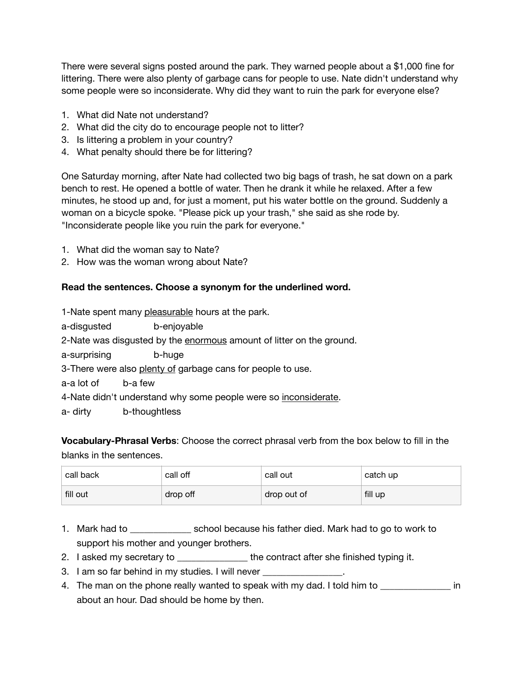There were several signs posted around the park. They warned people about a \$1,000 fine for littering. There were also plenty of garbage cans for people to use. Nate didn't understand why some people were so inconsiderate. Why did they want to ruin the park for everyone else?

- 1. What did Nate not understand?
- 2. What did the city do to encourage people not to litter?
- 3. Is littering a problem in your country?
- 4. What penalty should there be for littering?

One Saturday morning, after Nate had collected two big bags of trash, he sat down on a park bench to rest. He opened a bottle of water. Then he drank it while he relaxed. After a few minutes, he stood up and, for just a moment, put his water bottle on the ground. Suddenly a woman on a bicycle spoke. "Please pick up your trash," she said as she rode by. "Inconsiderate people like you ruin the park for everyone."

- 1. What did the woman say to Nate?
- 2. How was the woman wrong about Nate?

#### **Read the sentences. Choose a synonym for the underlined word.**

1-Nate spent many pleasurable hours at the park.

a-disgusted b-enjoyable

2-Nate was disgusted by the enormous amount of litter on the ground.

a-surprising b-huge

3-There were also plenty of garbage cans for people to use.

a-a lot of b-a few

4-Nate didn't understand why some people were so inconsiderate.

a- dirty b-thoughtless

**Vocabulary-Phrasal Verbs**: Choose the correct phrasal verb from the box below to fill in the blanks in the sentences.

| call back | call off | call out    | catch up |
|-----------|----------|-------------|----------|
| fill out  | drop off | drop out of | fill up  |

- 1. Mark had to \_\_\_\_\_\_\_\_\_\_\_\_\_\_\_\_ school because his father died. Mark had to go to work to support his mother and younger brothers.
- 2. I asked my secretary to \_\_\_\_\_\_\_\_\_\_\_\_\_\_\_\_\_\_ the contract after she finished typing it.
- 3. I am so far behind in my studies. I will never
- 4. The man on the phone really wanted to speak with my dad. I told him to **the in** in about an hour. Dad should be home by then.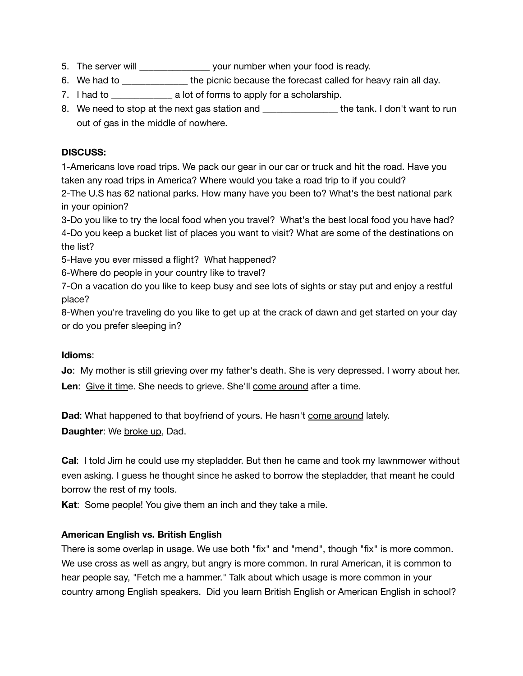- 5. The server will \_\_\_\_\_\_\_\_\_\_\_\_\_\_\_\_\_ your number when your food is ready.
- 6. We had to \_\_\_\_\_\_\_\_\_\_\_\_\_\_\_\_ the picnic because the forecast called for heavy rain all day.
- 7. I had to **z** a lot of forms to apply for a scholarship.
- 8. We need to stop at the next gas station and the tank. I don't want to run out of gas in the middle of nowhere.

# **DISCUSS:**

1-Americans love road trips. We pack our gear in our car or truck and hit the road. Have you taken any road trips in America? Where would you take a road trip to if you could?

2-The U.S has 62 national parks. How many have you been to? What's the best national park in your opinion?

3-Do you like to try the local food when you travel? What's the best local food you have had? 4-Do you keep a bucket list of places you want to visit? What are some of the destinations on the list?

5-Have you ever missed a flight? What happened?

6-Where do people in your country like to travel?

7-On a vacation do you like to keep busy and see lots of sights or stay put and enjoy a restful place?

8-When you're traveling do you like to get up at the crack of dawn and get started on your day or do you prefer sleeping in?

# **Idioms**:

**Jo**: My mother is still grieving over my father's death. She is very depressed. I worry about her. **Len**: Give it time. She needs to grieve. She'll come around after a time.

**Dad**: What happened to that boyfriend of yours. He hasn't come around lately. **Daughter:** We broke up, Dad.

**Cal**: I told Jim he could use my stepladder. But then he came and took my lawnmower without even asking. I guess he thought since he asked to borrow the stepladder, that meant he could borrow the rest of my tools.

**Kat**: Some people! You give them an inch and they take a mile.

# **American English vs. British English**

There is some overlap in usage. We use both "fix" and "mend", though "fix" is more common. We use cross as well as angry, but angry is more common. In rural American, it is common to hear people say, "Fetch me a hammer." Talk about which usage is more common in your country among English speakers. Did you learn British English or American English in school?